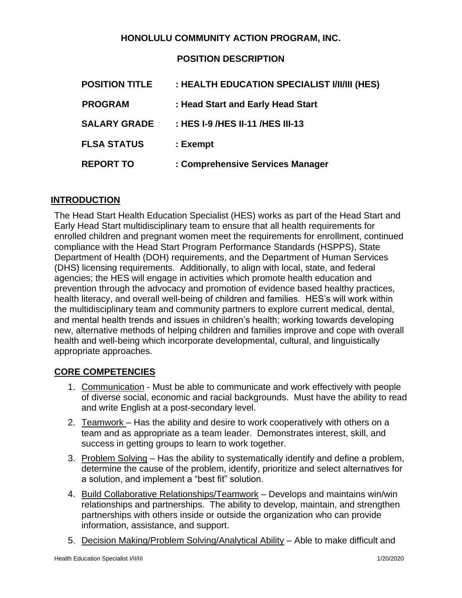#### **HONOLULU COMMUNITY ACTION PROGRAM, INC.**

#### **POSITION DESCRIPTION**

| <b>POSITION TITLE</b> | : HEALTH EDUCATION SPECIALIST I/II/III (HES) |
|-----------------------|----------------------------------------------|
| <b>PROGRAM</b>        | : Head Start and Early Head Start            |
| <b>SALARY GRADE</b>   | : HES 1-9 /HES 11-11 /HES 111-13             |
| <b>FLSA STATUS</b>    | : Exempt                                     |
| <b>REPORT TO</b>      | : Comprehensive Services Manager             |

#### **INTRODUCTION**

The Head Start Health Education Specialist (HES) works as part of the Head Start and Early Head Start multidisciplinary team to ensure that all health requirements for enrolled children and pregnant women meet the requirements for enrollment, continued compliance with the Head Start Program Performance Standards (HSPPS), State Department of Health (DOH) requirements, and the Department of Human Services (DHS) licensing requirements. Additionally, to align with local, state, and federal agencies; the HES will engage in activities which promote health education and prevention through the advocacy and promotion of evidence based healthy practices, health literacy, and overall well-being of children and families. HES's will work within the multidisciplinary team and community partners to explore current medical, dental, and mental health trends and issues in children's health; working towards developing new, alternative methods of helping children and families improve and cope with overall health and well-being which incorporate developmental, cultural, and linguistically appropriate approaches.

#### **CORE COMPETENCIES**

- 1. Communication Must be able to communicate and work effectively with people of diverse social, economic and racial backgrounds. Must have the ability to read and write English at a post-secondary level.
- 2. Teamwork Has the ability and desire to work cooperatively with others on a team and as appropriate as a team leader. Demonstrates interest, skill, and success in getting groups to learn to work together.
- 3. Problem Solving Has the ability to systematically identify and define a problem, determine the cause of the problem, identify, prioritize and select alternatives for a solution, and implement a "best fit" solution.
- 4. Build Collaborative Relationships/Teamwork Develops and maintains win/win relationships and partnerships. The ability to develop, maintain, and strengthen partnerships with others inside or outside the organization who can provide information, assistance, and support.
- 5. Decision Making/Problem Solving/Analytical Ability Able to make difficult and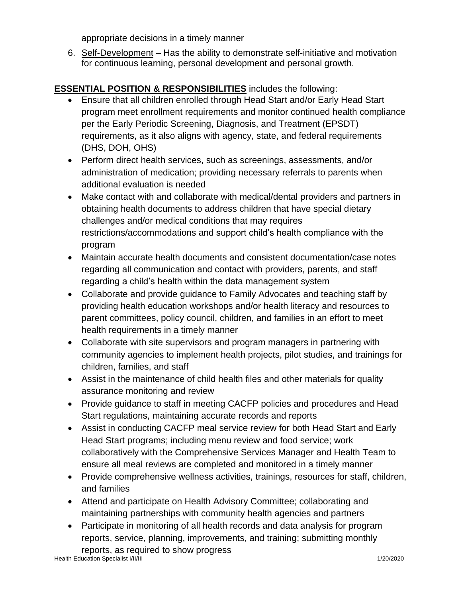appropriate decisions in a timely manner

6. Self-Development – Has the ability to demonstrate self-initiative and motivation for continuous learning, personal development and personal growth.

# **ESSENTIAL POSITION & RESPONSIBILITIES** includes the following:

- Ensure that all children enrolled through Head Start and/or Early Head Start program meet enrollment requirements and monitor continued health compliance per the Early Periodic Screening, Diagnosis, and Treatment (EPSDT) requirements, as it also aligns with agency, state, and federal requirements (DHS, DOH, OHS)
- Perform direct health services, such as screenings, assessments, and/or administration of medication; providing necessary referrals to parents when additional evaluation is needed
- Make contact with and collaborate with medical/dental providers and partners in obtaining health documents to address children that have special dietary challenges and/or medical conditions that may requires restrictions/accommodations and support child's health compliance with the program
- Maintain accurate health documents and consistent documentation/case notes regarding all communication and contact with providers, parents, and staff regarding a child's health within the data management system
- Collaborate and provide guidance to Family Advocates and teaching staff by providing health education workshops and/or health literacy and resources to parent committees, policy council, children, and families in an effort to meet health requirements in a timely manner
- Collaborate with site supervisors and program managers in partnering with community agencies to implement health projects, pilot studies, and trainings for children, families, and staff
- Assist in the maintenance of child health files and other materials for quality assurance monitoring and review
- Provide guidance to staff in meeting CACFP policies and procedures and Head Start regulations, maintaining accurate records and reports
- Assist in conducting CACFP meal service review for both Head Start and Early Head Start programs; including menu review and food service; work collaboratively with the Comprehensive Services Manager and Health Team to ensure all meal reviews are completed and monitored in a timely manner
- Provide comprehensive wellness activities, trainings, resources for staff, children, and families
- Attend and participate on Health Advisory Committee; collaborating and maintaining partnerships with community health agencies and partners
- Participate in monitoring of all health records and data analysis for program reports, service, planning, improvements, and training; submitting monthly reports, as required to show progress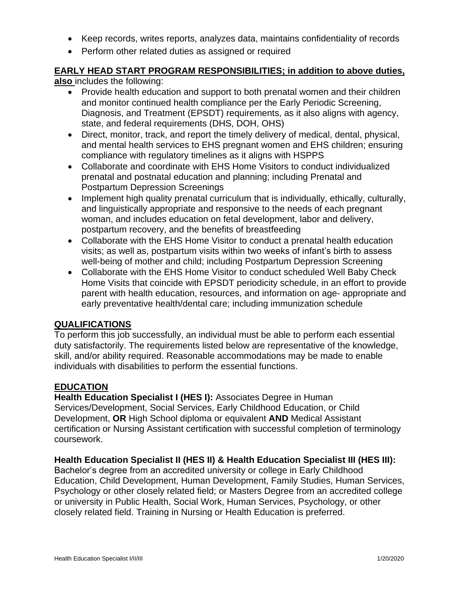- Keep records, writes reports, analyzes data, maintains confidentiality of records
- Perform other related duties as assigned or required

# **EARLY HEAD START PROGRAM RESPONSIBILITIES; in addition to above duties,**

**also** includes the following:

- Provide health education and support to both prenatal women and their children and monitor continued health compliance per the Early Periodic Screening, Diagnosis, and Treatment (EPSDT) requirements, as it also aligns with agency, state, and federal requirements (DHS, DOH, OHS)
- Direct, monitor, track, and report the timely delivery of medical, dental, physical, and mental health services to EHS pregnant women and EHS children; ensuring compliance with regulatory timelines as it aligns with HSPPS
- Collaborate and coordinate with EHS Home Visitors to conduct individualized prenatal and postnatal education and planning; including Prenatal and Postpartum Depression Screenings
- Implement high quality prenatal curriculum that is individually, ethically, culturally, and linguistically appropriate and responsive to the needs of each pregnant woman, and includes education on fetal development, labor and delivery, postpartum recovery, and the benefits of breastfeeding
- Collaborate with the EHS Home Visitor to conduct a prenatal health education visits; as well as, postpartum visits within two weeks of infant's birth to assess well-being of mother and child; including Postpartum Depression Screening
- Collaborate with the EHS Home Visitor to conduct scheduled Well Baby Check Home Visits that coincide with EPSDT periodicity schedule, in an effort to provide parent with health education, resources, and information on age- appropriate and early preventative health/dental care; including immunization schedule

### **QUALIFICATIONS**

To perform this job successfully, an individual must be able to perform each essential duty satisfactorily. The requirements listed below are representative of the knowledge, skill, and/or ability required. Reasonable accommodations may be made to enable individuals with disabilities to perform the essential functions.

#### **EDUCATION**

**Health Education Specialist I (HES I):** Associates Degree in Human Services/Development, Social Services, Early Childhood Education, or Child Development, **OR** High School diploma or equivalent **AND** Medical Assistant certification or Nursing Assistant certification with successful completion of terminology coursework.

## **Health Education Specialist II (HES II) & Health Education Specialist III (HES III):**

Bachelor's degree from an accredited university or college in Early Childhood Education, Child Development, Human Development, Family Studies, Human Services, Psychology or other closely related field; or Masters Degree from an accredited college or university in Public Health, Social Work, Human Services, Psychology, or other closely related field. Training in Nursing or Health Education is preferred.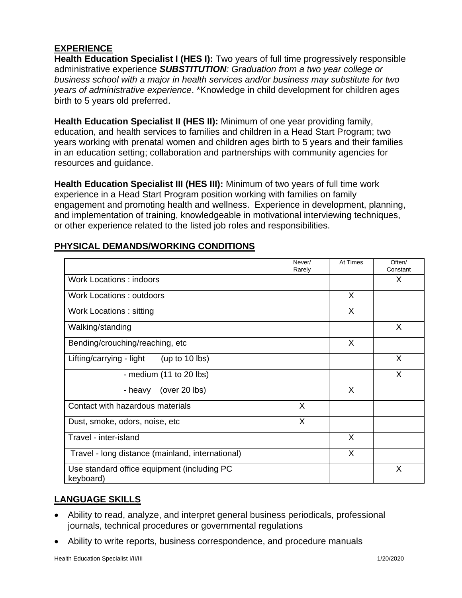### **EXPERIENCE**

**Health Education Specialist I (HES I):** Two years of full time progressively responsible administrative experience *SUBSTITUTION: Graduation from a two year college or business school with a major in health services and/or business may substitute for two years of administrative experience*. \*Knowledge in child development for children ages birth to 5 years old preferred.

**Health Education Specialist II (HES II):** Minimum of one year providing family, education, and health services to families and children in a Head Start Program; two years working with prenatal women and children ages birth to 5 years and their families in an education setting; collaboration and partnerships with community agencies for resources and guidance.

**Health Education Specialist III (HES III):** Minimum of two years of full time work experience in a Head Start Program position working with families on family engagement and promoting health and wellness. Experience in development, planning, and implementation of training, knowledgeable in motivational interviewing techniques, or other experience related to the listed job roles and responsibilities.

|                                                          | Never/<br>Rarely | At Times | Often/<br>Constant |
|----------------------------------------------------------|------------------|----------|--------------------|
| <b>Work Locations: indoors</b>                           |                  |          | X                  |
| <b>Work Locations: outdoors</b>                          |                  | X        |                    |
| Work Locations: sitting                                  |                  | X        |                    |
| Walking/standing                                         |                  |          | X                  |
| Bending/crouching/reaching, etc                          |                  | X        |                    |
| Lifting/carrying - light<br>(up to $10$ lbs)             |                  |          | X                  |
| - medium (11 to 20 lbs)                                  |                  |          | X                  |
| (over 20 lbs)<br>- heavy                                 |                  | X        |                    |
| Contact with hazardous materials                         | X                |          |                    |
| Dust, smoke, odors, noise, etc                           | X                |          |                    |
| Travel - inter-island                                    |                  | X        |                    |
| Travel - long distance (mainland, international)         |                  | X        |                    |
| Use standard office equipment (including PC<br>keyboard) |                  |          | X                  |

#### **PHYSICAL DEMANDS/WORKING CONDITIONS**

## **LANGUAGE SKILLS**

- Ability to read, analyze, and interpret general business periodicals, professional journals, technical procedures or governmental regulations
- Ability to write reports, business correspondence, and procedure manuals